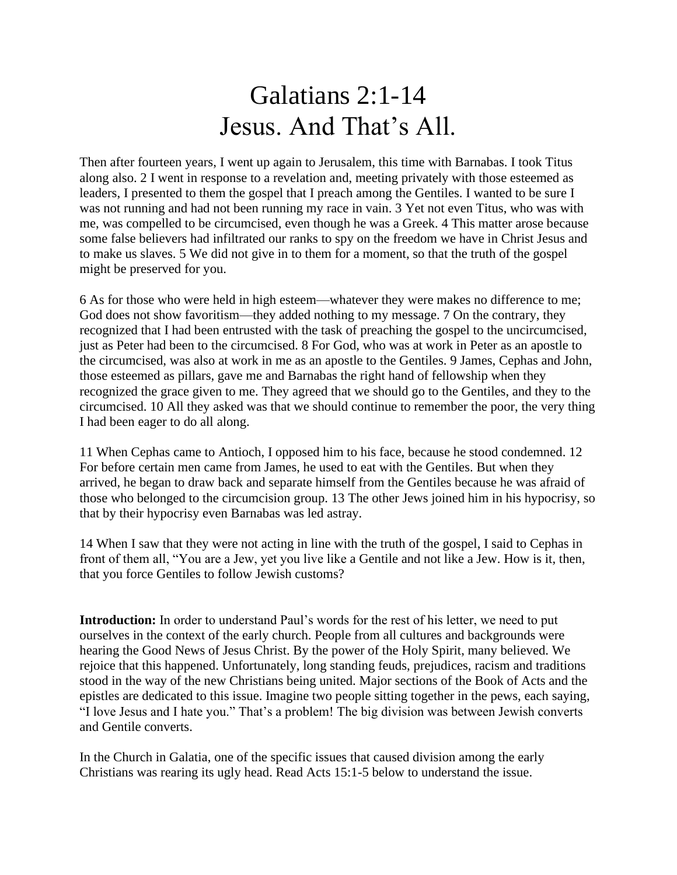## Galatians 2:1-14 Jesus. And That's All.

Then after fourteen years, I went up again to Jerusalem, this time with Barnabas. I took Titus along also. 2 I went in response to a revelation and, meeting privately with those esteemed as leaders, I presented to them the gospel that I preach among the Gentiles. I wanted to be sure I was not running and had not been running my race in vain. 3 Yet not even Titus, who was with me, was compelled to be circumcised, even though he was a Greek. 4 This matter arose because some false believers had infiltrated our ranks to spy on the freedom we have in Christ Jesus and to make us slaves. 5 We did not give in to them for a moment, so that the truth of the gospel might be preserved for you.

6 As for those who were held in high esteem—whatever they were makes no difference to me; God does not show favoritism—they added nothing to my message. 7 On the contrary, they recognized that I had been entrusted with the task of preaching the gospel to the uncircumcised, just as Peter had been to the circumcised. 8 For God, who was at work in Peter as an apostle to the circumcised, was also at work in me as an apostle to the Gentiles. 9 James, Cephas and John, those esteemed as pillars, gave me and Barnabas the right hand of fellowship when they recognized the grace given to me. They agreed that we should go to the Gentiles, and they to the circumcised. 10 All they asked was that we should continue to remember the poor, the very thing I had been eager to do all along.

11 When Cephas came to Antioch, I opposed him to his face, because he stood condemned. 12 For before certain men came from James, he used to eat with the Gentiles. But when they arrived, he began to draw back and separate himself from the Gentiles because he was afraid of those who belonged to the circumcision group. 13 The other Jews joined him in his hypocrisy, so that by their hypocrisy even Barnabas was led astray.

14 When I saw that they were not acting in line with the truth of the gospel, I said to Cephas in front of them all, "You are a Jew, yet you live like a Gentile and not like a Jew. How is it, then, that you force Gentiles to follow Jewish customs?

**Introduction:** In order to understand Paul's words for the rest of his letter, we need to put ourselves in the context of the early church. People from all cultures and backgrounds were hearing the Good News of Jesus Christ. By the power of the Holy Spirit, many believed. We rejoice that this happened. Unfortunately, long standing feuds, prejudices, racism and traditions stood in the way of the new Christians being united. Major sections of the Book of Acts and the epistles are dedicated to this issue. Imagine two people sitting together in the pews, each saying, "I love Jesus and I hate you." That's a problem! The big division was between Jewish converts and Gentile converts.

In the Church in Galatia, one of the specific issues that caused division among the early Christians was rearing its ugly head. Read Acts 15:1-5 below to understand the issue.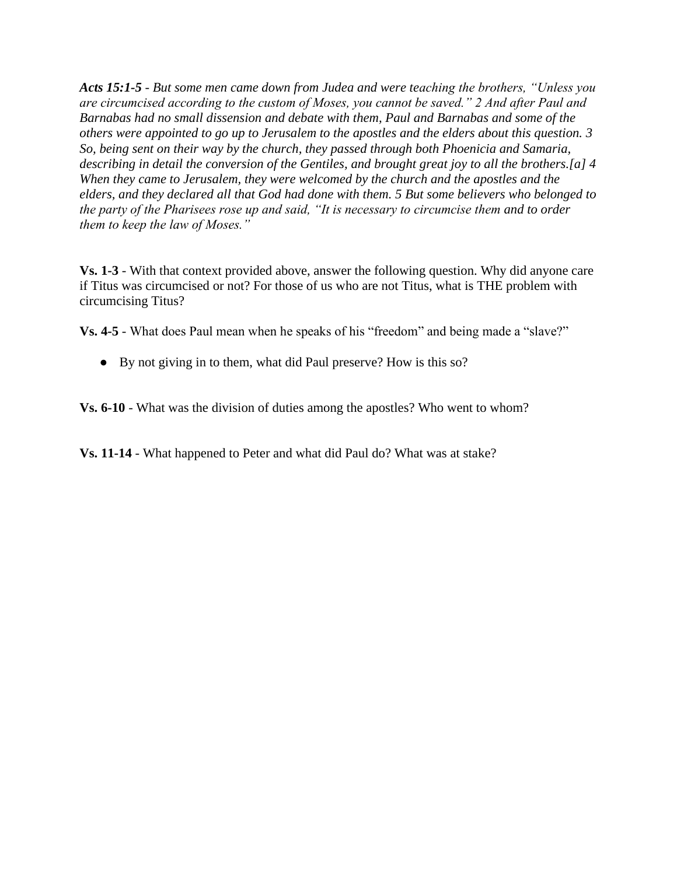*Acts 15:1-5 - But some men came down from Judea and were teaching the brothers, "Unless you are circumcised according to the custom of Moses, you cannot be saved." 2 And after Paul and Barnabas had no small dissension and debate with them, Paul and Barnabas and some of the others were appointed to go up to Jerusalem to the apostles and the elders about this question. 3 So, being sent on their way by the church, they passed through both Phoenicia and Samaria, describing in detail the conversion of the Gentiles, and brought great joy to all the brothers.[a] 4 When they came to Jerusalem, they were welcomed by the church and the apostles and the elders, and they declared all that God had done with them. 5 But some believers who belonged to the party of the Pharisees rose up and said, "It is necessary to circumcise them and to order them to keep the law of Moses."*

**Vs. 1-3** - With that context provided above, answer the following question. Why did anyone care if Titus was circumcised or not? For those of us who are not Titus, what is THE problem with circumcising Titus?

**Vs. 4-5** - What does Paul mean when he speaks of his "freedom" and being made a "slave?"

● By not giving in to them, what did Paul preserve? How is this so?

**Vs. 6-10** - What was the division of duties among the apostles? Who went to whom?

**Vs. 11-14** - What happened to Peter and what did Paul do? What was at stake?